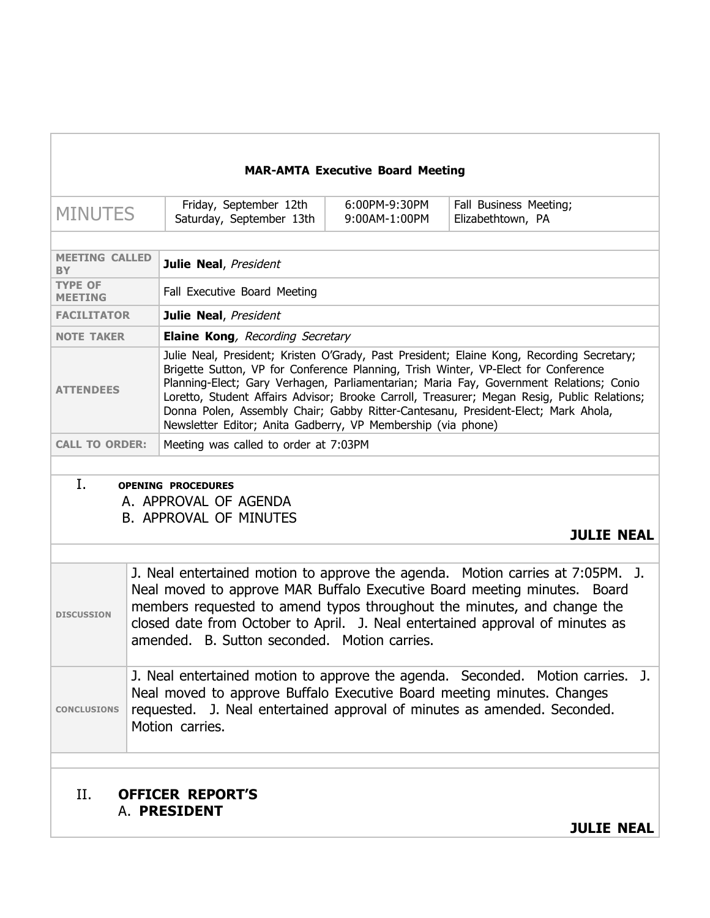| <b>MAR-AMTA Executive Board Meeting</b>                                                                                                                                                                                                                                                                                                                                                     |                                                                                                                                                                                                                                                                                                                                                                                                                                                                                                                               |                                                    |                                  |                                             |
|---------------------------------------------------------------------------------------------------------------------------------------------------------------------------------------------------------------------------------------------------------------------------------------------------------------------------------------------------------------------------------------------|-------------------------------------------------------------------------------------------------------------------------------------------------------------------------------------------------------------------------------------------------------------------------------------------------------------------------------------------------------------------------------------------------------------------------------------------------------------------------------------------------------------------------------|----------------------------------------------------|----------------------------------|---------------------------------------------|
| <b>MINUTES</b>                                                                                                                                                                                                                                                                                                                                                                              |                                                                                                                                                                                                                                                                                                                                                                                                                                                                                                                               | Friday, September 12th<br>Saturday, September 13th | $6:00PM-9:30PM$<br>9:00AM-1:00PM | Fall Business Meeting;<br>Elizabethtown, PA |
|                                                                                                                                                                                                                                                                                                                                                                                             |                                                                                                                                                                                                                                                                                                                                                                                                                                                                                                                               |                                                    |                                  |                                             |
| <b>MEETING CALLED</b><br>BY                                                                                                                                                                                                                                                                                                                                                                 | Julie Neal, President                                                                                                                                                                                                                                                                                                                                                                                                                                                                                                         |                                                    |                                  |                                             |
| TYPE OF<br><b>MEETING</b>                                                                                                                                                                                                                                                                                                                                                                   |                                                                                                                                                                                                                                                                                                                                                                                                                                                                                                                               | Fall Executive Board Meeting                       |                                  |                                             |
| <b>FACILITATOR</b>                                                                                                                                                                                                                                                                                                                                                                          |                                                                                                                                                                                                                                                                                                                                                                                                                                                                                                                               | Julie Neal, President                              |                                  |                                             |
| <b>NOTE TAKER</b>                                                                                                                                                                                                                                                                                                                                                                           |                                                                                                                                                                                                                                                                                                                                                                                                                                                                                                                               | Elaine Kong, Recording Secretary                   |                                  |                                             |
| <b>ATTENDEES</b>                                                                                                                                                                                                                                                                                                                                                                            | Julie Neal, President; Kristen O'Grady, Past President; Elaine Kong, Recording Secretary;<br>Brigette Sutton, VP for Conference Planning, Trish Winter, VP-Elect for Conference<br>Planning-Elect; Gary Verhagen, Parliamentarian; Maria Fay, Government Relations; Conio<br>Loretto, Student Affairs Advisor; Brooke Carroll, Treasurer; Megan Resig, Public Relations;<br>Donna Polen, Assembly Chair; Gabby Ritter-Cantesanu, President-Elect; Mark Ahola,<br>Newsletter Editor; Anita Gadberry, VP Membership (via phone) |                                                    |                                  |                                             |
| <b>CALL TO ORDER:</b>                                                                                                                                                                                                                                                                                                                                                                       |                                                                                                                                                                                                                                                                                                                                                                                                                                                                                                                               | Meeting was called to order at 7:03PM              |                                  |                                             |
|                                                                                                                                                                                                                                                                                                                                                                                             |                                                                                                                                                                                                                                                                                                                                                                                                                                                                                                                               |                                                    |                                  |                                             |
| Ι.<br><b>OPENING PROCEDURES</b><br>A. APPROVAL OF AGENDA<br><b>B. APPROVAL OF MINUTES</b><br><b>JULIE NEAL</b>                                                                                                                                                                                                                                                                              |                                                                                                                                                                                                                                                                                                                                                                                                                                                                                                                               |                                                    |                                  |                                             |
|                                                                                                                                                                                                                                                                                                                                                                                             |                                                                                                                                                                                                                                                                                                                                                                                                                                                                                                                               |                                                    |                                  |                                             |
| J. Neal entertained motion to approve the agenda. Motion carries at 7:05PM. J.<br>Neal moved to approve MAR Buffalo Executive Board meeting minutes. Board<br>members requested to amend typos throughout the minutes, and change the<br><b>DISCUSSION</b><br>closed date from October to April. J. Neal entertained approval of minutes as<br>amended. B. Sutton seconded. Motion carries. |                                                                                                                                                                                                                                                                                                                                                                                                                                                                                                                               |                                                    |                                  |                                             |
| <b>CONCLUSIONS</b>                                                                                                                                                                                                                                                                                                                                                                          | J. Neal entertained motion to approve the agenda. Seconded. Motion carries. J.<br>Neal moved to approve Buffalo Executive Board meeting minutes. Changes<br>requested. J. Neal entertained approval of minutes as amended. Seconded.<br>Motion carries.                                                                                                                                                                                                                                                                       |                                                    |                                  |                                             |
|                                                                                                                                                                                                                                                                                                                                                                                             |                                                                                                                                                                                                                                                                                                                                                                                                                                                                                                                               |                                                    |                                  |                                             |
| Π.<br><b>OFFICER REPORT'S</b><br>A. PRESIDENT<br><b>JULIE NEAL</b>                                                                                                                                                                                                                                                                                                                          |                                                                                                                                                                                                                                                                                                                                                                                                                                                                                                                               |                                                    |                                  |                                             |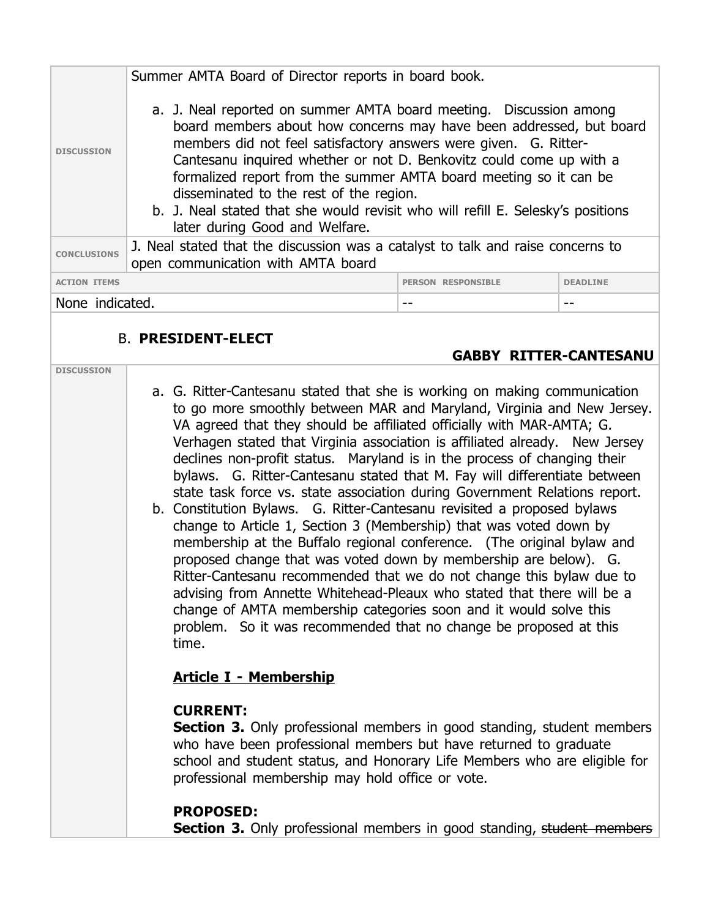|                     | Summer AMTA Board of Director reports in board book.                                                                                                                                                                                                                                                                                                                                                                                                                                                                      |  |  |  |
|---------------------|---------------------------------------------------------------------------------------------------------------------------------------------------------------------------------------------------------------------------------------------------------------------------------------------------------------------------------------------------------------------------------------------------------------------------------------------------------------------------------------------------------------------------|--|--|--|
| <b>DISCUSSION</b>   | a. J. Neal reported on summer AMTA board meeting. Discussion among<br>board members about how concerns may have been addressed, but board<br>members did not feel satisfactory answers were given. G. Ritter-<br>Cantesanu inquired whether or not D. Benkovitz could come up with a<br>formalized report from the summer AMTA board meeting so it can be<br>disseminated to the rest of the region.<br>b. J. Neal stated that she would revisit who will refill E. Selesky's positions<br>later during Good and Welfare. |  |  |  |
| <b>CONCLUSIONS</b>  | J. Neal stated that the discussion was a catalyst to talk and raise concerns to<br>open communication with AMTA board                                                                                                                                                                                                                                                                                                                                                                                                     |  |  |  |
| <b>ACTION ITEMS</b> | <b>DEADLINE</b><br><b>PERSON RESPONSIBLE</b>                                                                                                                                                                                                                                                                                                                                                                                                                                                                              |  |  |  |
|                     | None indicated.                                                                                                                                                                                                                                                                                                                                                                                                                                                                                                           |  |  |  |

#### B. **PRESIDENT-ELECT**

**DISCUSSION**

#### **GABBY RITTER-CANTESANU**

a. G. Ritter-Cantesanu stated that she is working on making communication to go more smoothly between MAR and Maryland, Virginia and New Jersey. VA agreed that they should be affiliated officially with MAR-AMTA; G. Verhagen stated that Virginia association is affiliated already. New Jersey declines non-profit status. Maryland is in the process of changing their bylaws. G. Ritter-Cantesanu stated that M. Fay will differentiate between state task force vs. state association during Government Relations report. b. Constitution Bylaws. G. Ritter-Cantesanu revisited a proposed bylaws change to Article 1, Section 3 (Membership) that was voted down by membership at the Buffalo regional conference. (The original bylaw and proposed change that was voted down by membership are below). G. Ritter-Cantesanu recommended that we do not change this bylaw due to advising from Annette Whitehead-Pleaux who stated that there will be a change of AMTA membership categories soon and it would solve this problem. So it was recommended that no change be proposed at this time. **Article I - Membership**

#### **CURRENT:**

**Section 3.** Only professional members in good standing, student members who have been professional members but have returned to graduate school and student status, and Honorary Life Members who are eligible for professional membership may hold office or vote.

### **PROPOSED:**

**Section 3.** Only professional members in good standing, student members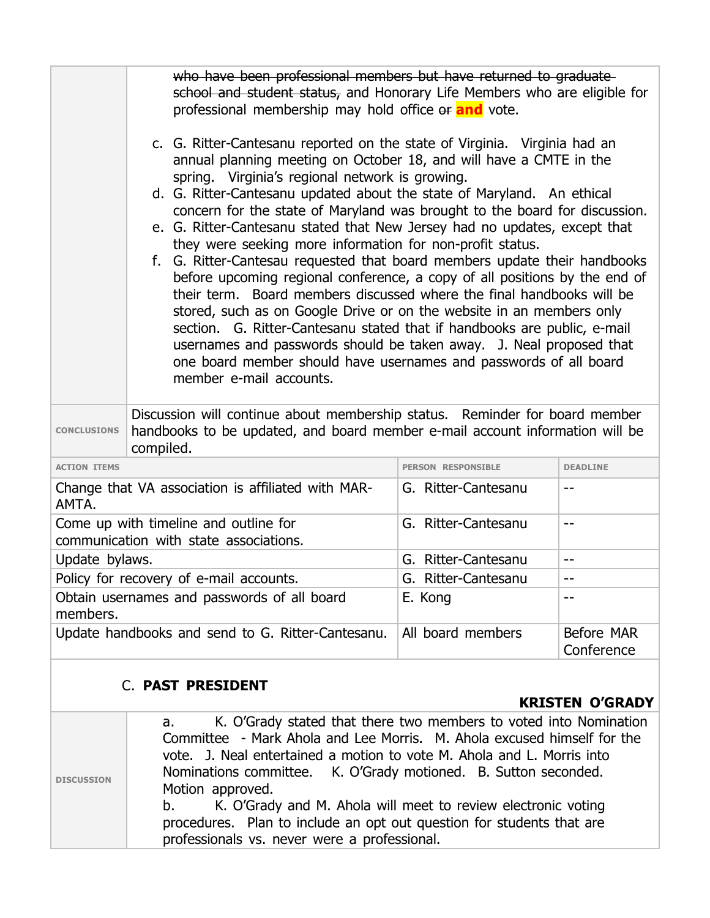|                                                                                                    | who have been professional members but have returned to graduate<br>school and student status, and Honorary Life Members who are eligible for<br>professional membership may hold office or and vote.                                                                                                                                                                                                                                                                                                                                                                                                                                                                                                                                                                                                                                                                                                                                                                                                                                                               |                           |                 |  |  |
|----------------------------------------------------------------------------------------------------|---------------------------------------------------------------------------------------------------------------------------------------------------------------------------------------------------------------------------------------------------------------------------------------------------------------------------------------------------------------------------------------------------------------------------------------------------------------------------------------------------------------------------------------------------------------------------------------------------------------------------------------------------------------------------------------------------------------------------------------------------------------------------------------------------------------------------------------------------------------------------------------------------------------------------------------------------------------------------------------------------------------------------------------------------------------------|---------------------------|-----------------|--|--|
|                                                                                                    | c. G. Ritter-Cantesanu reported on the state of Virginia. Virginia had an<br>annual planning meeting on October 18, and will have a CMTE in the<br>spring. Virginia's regional network is growing.<br>d. G. Ritter-Cantesanu updated about the state of Maryland. An ethical<br>concern for the state of Maryland was brought to the board for discussion.<br>e. G. Ritter-Cantesanu stated that New Jersey had no updates, except that<br>they were seeking more information for non-profit status.<br>f. G. Ritter-Cantesau requested that board members update their handbooks<br>before upcoming regional conference, a copy of all positions by the end of<br>their term. Board members discussed where the final handbooks will be<br>stored, such as on Google Drive or on the website in an members only<br>section. G. Ritter-Cantesanu stated that if handbooks are public, e-mail<br>usernames and passwords should be taken away. J. Neal proposed that<br>one board member should have usernames and passwords of all board<br>member e-mail accounts. |                           |                 |  |  |
| <b>CONCLUSIONS</b>                                                                                 | Discussion will continue about membership status. Reminder for board member<br>handbooks to be updated, and board member e-mail account information will be<br>compiled.                                                                                                                                                                                                                                                                                                                                                                                                                                                                                                                                                                                                                                                                                                                                                                                                                                                                                            |                           |                 |  |  |
| <b>ACTION ITEMS</b>                                                                                |                                                                                                                                                                                                                                                                                                                                                                                                                                                                                                                                                                                                                                                                                                                                                                                                                                                                                                                                                                                                                                                                     | <b>PERSON RESPONSIBLE</b> | <b>DEADLINE</b> |  |  |
| Change that VA association is affiliated with MAR-<br>AMTA.                                        |                                                                                                                                                                                                                                                                                                                                                                                                                                                                                                                                                                                                                                                                                                                                                                                                                                                                                                                                                                                                                                                                     | G. Ritter-Cantesanu       |                 |  |  |
| Come up with timeline and outline for<br>communication with state associations.                    |                                                                                                                                                                                                                                                                                                                                                                                                                                                                                                                                                                                                                                                                                                                                                                                                                                                                                                                                                                                                                                                                     | G. Ritter-Cantesanu       | $- -$           |  |  |
| Update bylaws.                                                                                     |                                                                                                                                                                                                                                                                                                                                                                                                                                                                                                                                                                                                                                                                                                                                                                                                                                                                                                                                                                                                                                                                     | G. Ritter-Cantesanu       | $-$             |  |  |
| Policy for recovery of e-mail accounts.                                                            |                                                                                                                                                                                                                                                                                                                                                                                                                                                                                                                                                                                                                                                                                                                                                                                                                                                                                                                                                                                                                                                                     | G. Ritter-Cantesanu       | --              |  |  |
| Obtain usernames and passwords of all board<br>E. Kong<br>members.                                 |                                                                                                                                                                                                                                                                                                                                                                                                                                                                                                                                                                                                                                                                                                                                                                                                                                                                                                                                                                                                                                                                     |                           |                 |  |  |
| Update handbooks and send to G. Ritter-Cantesanu.<br>All board members<br>Before MAR<br>Conference |                                                                                                                                                                                                                                                                                                                                                                                                                                                                                                                                                                                                                                                                                                                                                                                                                                                                                                                                                                                                                                                                     |                           |                 |  |  |
|                                                                                                    |                                                                                                                                                                                                                                                                                                                                                                                                                                                                                                                                                                                                                                                                                                                                                                                                                                                                                                                                                                                                                                                                     |                           |                 |  |  |

# C. **PAST PRESIDENT**

### **KRISTEN O'GRADY**

|                   | K. O'Grady stated that there two members to voted into Nomination<br>а. —<br>Committee - Mark Ahola and Lee Morris. M. Ahola excused himself for the |  |  |
|-------------------|------------------------------------------------------------------------------------------------------------------------------------------------------|--|--|
| <b>DISCUSSION</b> | vote. J. Neal entertained a motion to vote M. Ahola and L. Morris into                                                                               |  |  |
|                   |                                                                                                                                                      |  |  |
|                   | Nominations committee. K. O'Grady motioned. B. Sutton seconded.                                                                                      |  |  |
|                   | Motion approved.                                                                                                                                     |  |  |
|                   | b. K. O'Grady and M. Ahola will meet to review electronic voting                                                                                     |  |  |
|                   | procedures. Plan to include an opt out question for students that are                                                                                |  |  |
|                   | professionals vs. never were a professional.                                                                                                         |  |  |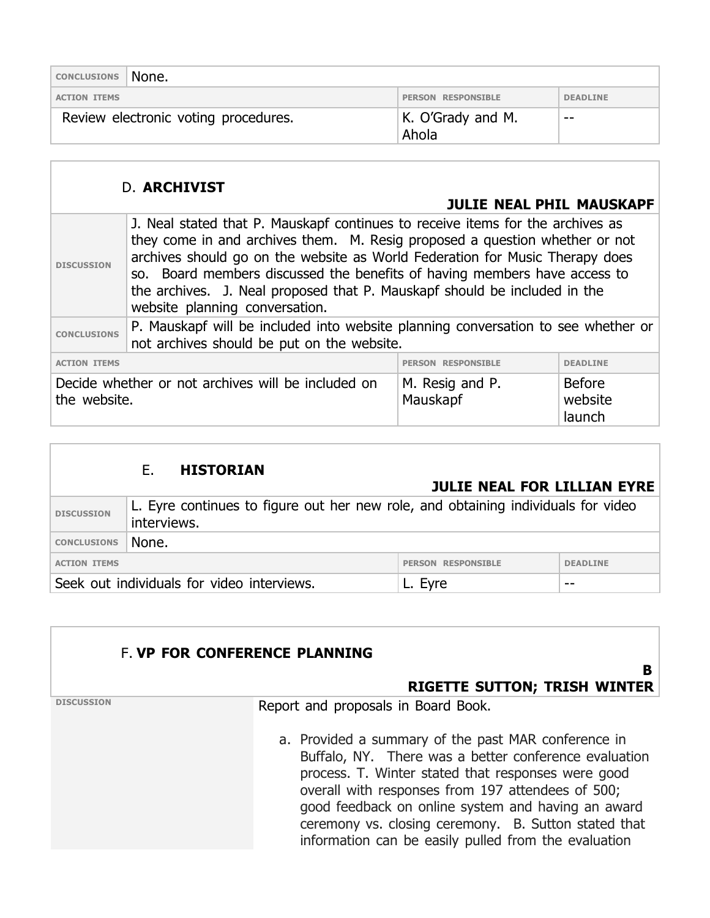| CONCLUSIONS   None.                  |                            |                   |  |
|--------------------------------------|----------------------------|-------------------|--|
| <b>ACTION ITEMS</b>                  | <b>PERSON RESPONSIBLE</b>  | <b>DEADLINE</b>   |  |
| Review electronic voting procedures. | K. O'Grady and M.<br>Ahola | $\qquad \qquad -$ |  |

|                                                                     | D. <b>ARCHIVIST</b>                                                                                                                                                                                                                                                                                                                                                                                                                       | <b>JULIE NEAL PHIL MAUSKAPF</b> |                                    |
|---------------------------------------------------------------------|-------------------------------------------------------------------------------------------------------------------------------------------------------------------------------------------------------------------------------------------------------------------------------------------------------------------------------------------------------------------------------------------------------------------------------------------|---------------------------------|------------------------------------|
| <b>DISCUSSION</b>                                                   | J. Neal stated that P. Mauskapf continues to receive items for the archives as<br>they come in and archives them. M. Resig proposed a question whether or not<br>archives should go on the website as World Federation for Music Therapy does<br>so. Board members discussed the benefits of having members have access to<br>the archives. J. Neal proposed that P. Mauskapf should be included in the<br>website planning conversation. |                                 |                                    |
| <b>CONCLUSIONS</b>                                                  | P. Mauskapf will be included into website planning conversation to see whether or<br>not archives should be put on the website.                                                                                                                                                                                                                                                                                                           |                                 |                                    |
| <b>DEADLINE</b><br><b>ACTION ITEMS</b><br><b>PERSON RESPONSTBLE</b> |                                                                                                                                                                                                                                                                                                                                                                                                                                           |                                 |                                    |
| Decide whether or not archives will be included on<br>the website.  |                                                                                                                                                                                                                                                                                                                                                                                                                                           | M. Resig and P.<br>Mauskapf     | <b>Before</b><br>website<br>launch |

## E. **HISTORIAN**

## **JULIE NEAL FOR LILLIAN EYRE**

| <b>DISCUSSION</b>                                                   | L. Eyre continues to figure out her new role, and obtaining individuals for video<br>interviews. |  |  |  |
|---------------------------------------------------------------------|--------------------------------------------------------------------------------------------------|--|--|--|
| <b>CONCLUSIONS</b>                                                  | None.                                                                                            |  |  |  |
| <b>PERSON RESPONSIBLE</b><br><b>DEADLINE</b><br><b>ACTION ITEMS</b> |                                                                                                  |  |  |  |
| Seek out individuals for video interviews.<br>L. Eyre<br>--         |                                                                                                  |  |  |  |

| F. VP FOR CONFERENCE PLANNING | В<br><b>RIGETTE SUTTON; TRISH WINTER</b>                                                                                                                                                                                                                                                                                                                                                                                             |
|-------------------------------|--------------------------------------------------------------------------------------------------------------------------------------------------------------------------------------------------------------------------------------------------------------------------------------------------------------------------------------------------------------------------------------------------------------------------------------|
| <b>DISCUSSION</b>             | Report and proposals in Board Book.<br>a. Provided a summary of the past MAR conference in<br>Buffalo, NY. There was a better conference evaluation<br>process. T. Winter stated that responses were good<br>overall with responses from 197 attendees of 500;<br>good feedback on online system and having an award<br>ceremony vs. closing ceremony. B. Sutton stated that<br>information can be easily pulled from the evaluation |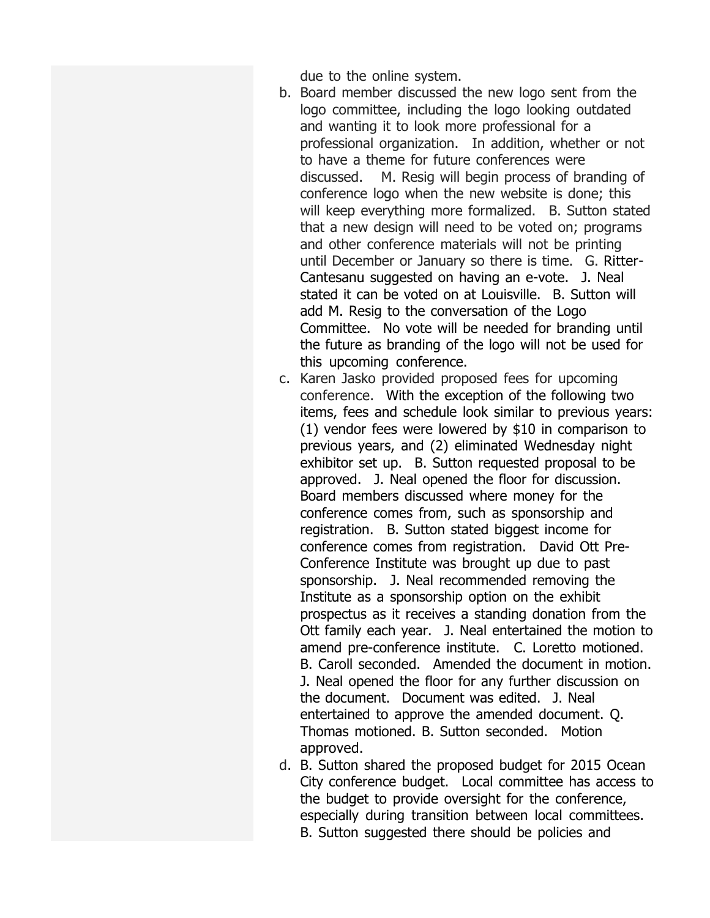due to the online system.

- b. Board member discussed the new logo sent from the logo committee, including the logo looking outdated and wanting it to look more professional for a professional organization. In addition, whether or not to have a theme for future conferences were discussed. M. Resig will begin process of branding of conference logo when the new website is done; this will keep everything more formalized. B. Sutton stated that a new design will need to be voted on; programs and other conference materials will not be printing until December or January so there is time. G. Ritter-Cantesanu suggested on having an e-vote. J. Neal stated it can be voted on at Louisville. B. Sutton will add M. Resig to the conversation of the Logo Committee. No vote will be needed for branding until the future as branding of the logo will not be used for this upcoming conference.
- c. Karen Jasko provided proposed fees for upcoming conference. With the exception of the following two items, fees and schedule look similar to previous years: (1) vendor fees were lowered by \$10 in comparison to previous years, and (2) eliminated Wednesday night exhibitor set up. B. Sutton requested proposal to be approved. J. Neal opened the floor for discussion. Board members discussed where money for the conference comes from, such as sponsorship and registration. B. Sutton stated biggest income for conference comes from registration. David Ott Pre-Conference Institute was brought up due to past sponsorship. J. Neal recommended removing the Institute as a sponsorship option on the exhibit prospectus as it receives a standing donation from the Ott family each year. J. Neal entertained the motion to amend pre-conference institute. C. Loretto motioned. B. Caroll seconded. Amended the document in motion. J. Neal opened the floor for any further discussion on the document. Document was edited. J. Neal entertained to approve the amended document. Q. Thomas motioned. B. Sutton seconded. Motion approved.
- d. B. Sutton shared the proposed budget for 2015 Ocean City conference budget. Local committee has access to the budget to provide oversight for the conference, especially during transition between local committees. B. Sutton suggested there should be policies and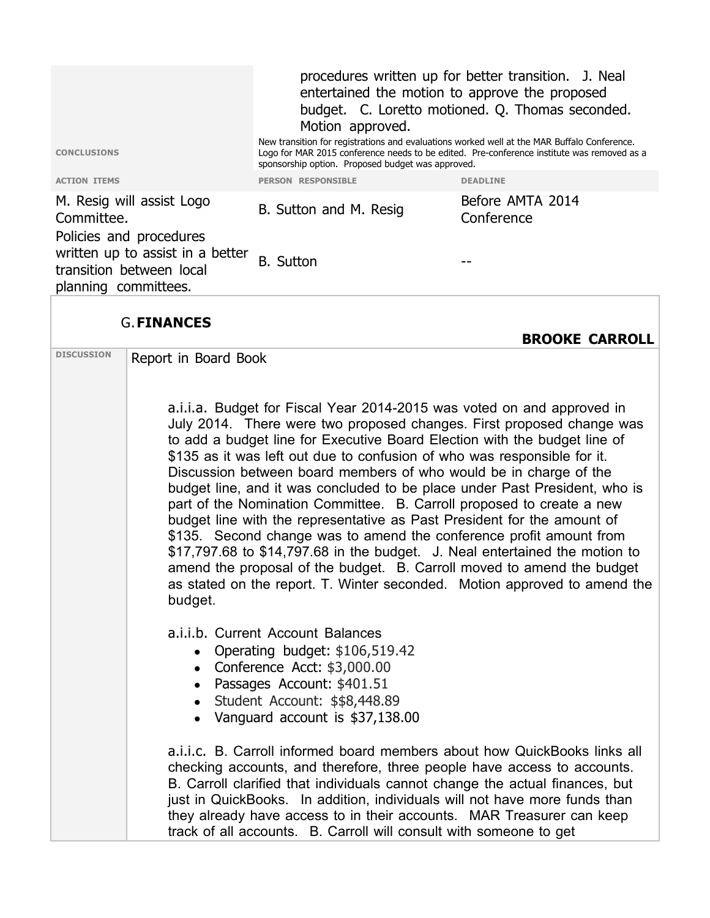|                                                                                                        |                                 | procedures written up for better transition. J. Neal<br>entertained the motion to approve the proposed<br>budget. C. Loretto motioned. Q. Thomas seconded.<br>Motion approved.<br>New transition for registrations and evaluations worked well at the MAR Buffalo Conference.                                                                                                                                                                                                                                                                                                                                                                                                                                                                                                                                                                   |                                                                                            |
|--------------------------------------------------------------------------------------------------------|---------------------------------|-------------------------------------------------------------------------------------------------------------------------------------------------------------------------------------------------------------------------------------------------------------------------------------------------------------------------------------------------------------------------------------------------------------------------------------------------------------------------------------------------------------------------------------------------------------------------------------------------------------------------------------------------------------------------------------------------------------------------------------------------------------------------------------------------------------------------------------------------|--------------------------------------------------------------------------------------------|
| <b>CONCLUSIONS</b>                                                                                     |                                 | sponsorship option. Proposed budget was approved.                                                                                                                                                                                                                                                                                                                                                                                                                                                                                                                                                                                                                                                                                                                                                                                               | Logo for MAR 2015 conference needs to be edited. Pre-conference institute was removed as a |
| <b>ACTION ITEMS</b>                                                                                    |                                 | <b>PERSON RESPONSIBLE</b>                                                                                                                                                                                                                                                                                                                                                                                                                                                                                                                                                                                                                                                                                                                                                                                                                       | <b>DEADLINE</b>                                                                            |
| M. Resig will assist Logo<br>Committee.<br>Policies and procedures<br>written up to assist in a better |                                 | B. Sutton and M. Resig<br><b>B.</b> Sutton                                                                                                                                                                                                                                                                                                                                                                                                                                                                                                                                                                                                                                                                                                                                                                                                      | Before AMTA 2014<br>Conference                                                             |
| planning committees.                                                                                   | transition between local        |                                                                                                                                                                                                                                                                                                                                                                                                                                                                                                                                                                                                                                                                                                                                                                                                                                                 |                                                                                            |
|                                                                                                        | <b>G. FINANCES</b>              |                                                                                                                                                                                                                                                                                                                                                                                                                                                                                                                                                                                                                                                                                                                                                                                                                                                 |                                                                                            |
| <b>DISCUSSION</b>                                                                                      |                                 |                                                                                                                                                                                                                                                                                                                                                                                                                                                                                                                                                                                                                                                                                                                                                                                                                                                 | <b>BROOKE CARROLL</b>                                                                      |
|                                                                                                        | Report in Board Book<br>budget. | a.i.i.a. Budget for Fiscal Year 2014-2015 was voted on and approved in<br>July 2014. There were two proposed changes. First proposed change was<br>to add a budget line for Executive Board Election with the budget line of<br>\$135 as it was left out due to confusion of who was responsible for it.<br>Discussion between board members of who would be in charge of the<br>budget line, and it was concluded to be place under Past President, who is<br>part of the Nomination Committee. B. Carroll proposed to create a new<br>budget line with the representative as Past President for the amount of<br>\$135. Second change was to amend the conference profit amount from<br>\$17,797.68 to \$14,797.68 in the budget. J. Neal entertained the motion to<br>amend the proposal of the budget. B. Carroll moved to amend the budget | as stated on the report. T. Winter seconded. Motion approved to amend the                  |
|                                                                                                        |                                 | a.i.i.b. Current Account Balances<br>Operating budget: \$106,519.42<br>• Conference Acct: \$3,000.00<br>• Passages Account: \$401.51<br>Student Account: \$\$8,448.89<br>Vanguard account is \$37,138.00<br>a.i.i.c. B. Carroll informed board members about how QuickBooks links all<br>checking accounts, and therefore, three people have access to accounts.<br>B. Carroll clarified that individuals cannot change the actual finances, but<br>just in QuickBooks. In addition, individuals will not have more funds than<br>they already have access to in their accounts. MAR Treasurer can keep<br>track of all accounts. B. Carroll will consult with someone to get                                                                                                                                                                   |                                                                                            |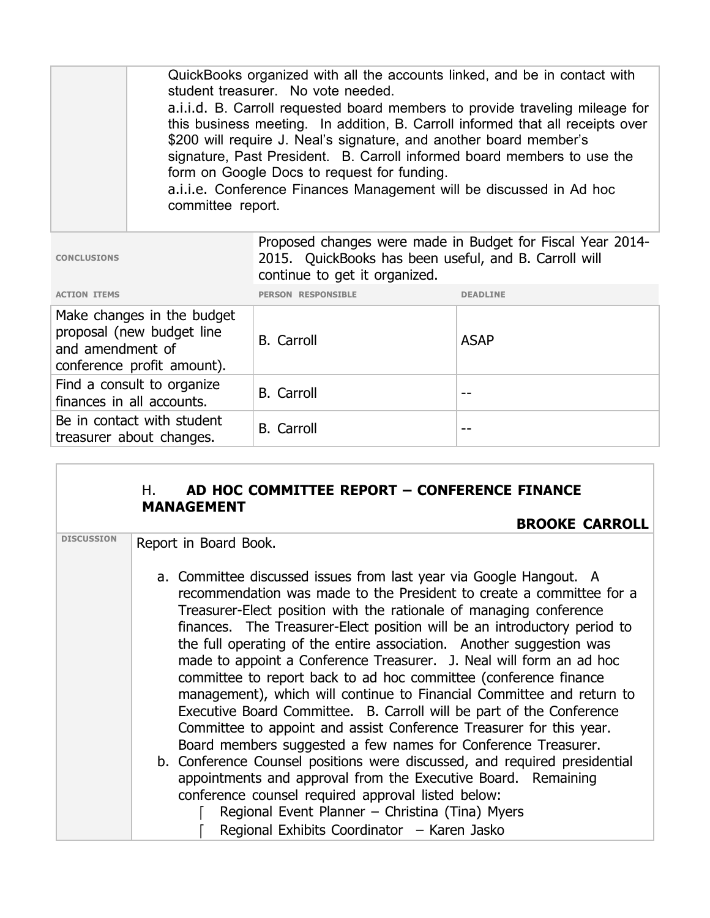| QuickBooks organized with all the accounts linked, and be in contact with<br>student treasurer. No vote needed.<br>a.i.i.d. B. Carroll requested board members to provide traveling mileage for<br>this business meeting. In addition, B. Carroll informed that all receipts over<br>\$200 will require J. Neal's signature, and another board member's<br>signature, Past President. B. Carroll informed board members to use the<br>form on Google Docs to request for funding.<br>a.i.i.e. Conference Finances Management will be discussed in Ad hoc<br>committee report. |
|-------------------------------------------------------------------------------------------------------------------------------------------------------------------------------------------------------------------------------------------------------------------------------------------------------------------------------------------------------------------------------------------------------------------------------------------------------------------------------------------------------------------------------------------------------------------------------|
|-------------------------------------------------------------------------------------------------------------------------------------------------------------------------------------------------------------------------------------------------------------------------------------------------------------------------------------------------------------------------------------------------------------------------------------------------------------------------------------------------------------------------------------------------------------------------------|

| <b>CONCLUSIONS</b> | Proposed changes were made in Budget for Fiscal Year 2014-<br>2015. QuickBooks has been useful, and B. Carroll will<br>continue to get it organized. |
|--------------------|------------------------------------------------------------------------------------------------------------------------------------------------------|
|                    |                                                                                                                                                      |
|                    |                                                                                                                                                      |

| <b>ACTION ITEMS</b>                                                                                       | <b>PERSON RESPONSIBLE</b> | <b>DEADLINE</b> |
|-----------------------------------------------------------------------------------------------------------|---------------------------|-----------------|
| Make changes in the budget<br>proposal (new budget line<br>and amendment of<br>conference profit amount). | <b>B.</b> Carroll         | <b>ASAP</b>     |
| Find a consult to organize<br>finances in all accounts.                                                   | <b>B.</b> Carroll         |                 |
| Be in contact with student<br>treasurer about changes.                                                    | <b>B.</b> Carroll         |                 |

|                   | AD HOC COMMITTEE REPORT - CONFERENCE FINANCE<br>Н.<br><b>MANAGEMENT</b><br><b>BROOKE CARROLL</b>                                                                                                                                                                                                                                                                                                                                                                                                                                                                                                                                                                                                                                                                                                                                                                                                                                                                                                                                                                                                               |
|-------------------|----------------------------------------------------------------------------------------------------------------------------------------------------------------------------------------------------------------------------------------------------------------------------------------------------------------------------------------------------------------------------------------------------------------------------------------------------------------------------------------------------------------------------------------------------------------------------------------------------------------------------------------------------------------------------------------------------------------------------------------------------------------------------------------------------------------------------------------------------------------------------------------------------------------------------------------------------------------------------------------------------------------------------------------------------------------------------------------------------------------|
| <b>DISCUSSION</b> | Report in Board Book.                                                                                                                                                                                                                                                                                                                                                                                                                                                                                                                                                                                                                                                                                                                                                                                                                                                                                                                                                                                                                                                                                          |
|                   | a. Committee discussed issues from last year via Google Hangout. A<br>recommendation was made to the President to create a committee for a<br>Treasurer-Elect position with the rationale of managing conference<br>finances. The Treasurer-Elect position will be an introductory period to<br>the full operating of the entire association. Another suggestion was<br>made to appoint a Conference Treasurer. J. Neal will form an ad hoc<br>committee to report back to ad hoc committee (conference finance<br>management), which will continue to Financial Committee and return to<br>Executive Board Committee. B. Carroll will be part of the Conference<br>Committee to appoint and assist Conference Treasurer for this year.<br>Board members suggested a few names for Conference Treasurer.<br>b. Conference Counsel positions were discussed, and required presidential<br>appointments and approval from the Executive Board. Remaining<br>conference counsel required approval listed below:<br>Regional Event Planner - Christina (Tina) Myers<br>Regional Exhibits Coordinator - Karen Jasko |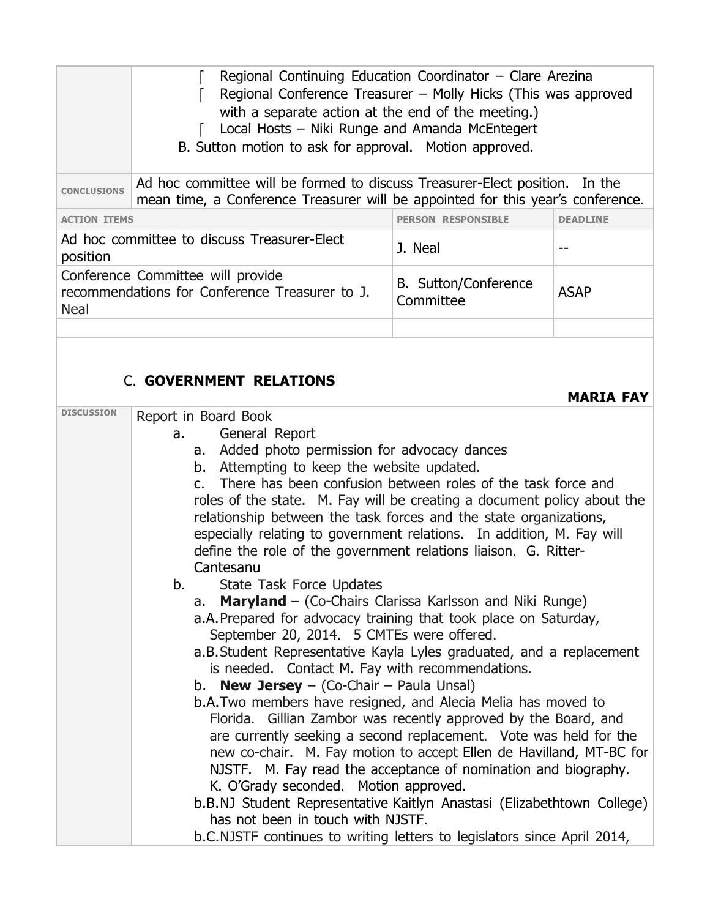|                                                                                                    | Regional Continuing Education Coordinator – Clare Arezina<br>Regional Conference Treasurer – Molly Hicks (This was approved<br>with a separate action at the end of the meeting.)<br>Local Hosts - Niki Runge and Amanda McEntegert<br>B. Sutton motion to ask for approval. Motion approved. |                                          |                 |  |
|----------------------------------------------------------------------------------------------------|-----------------------------------------------------------------------------------------------------------------------------------------------------------------------------------------------------------------------------------------------------------------------------------------------|------------------------------------------|-----------------|--|
| <b>CONCLUSIONS</b>                                                                                 | Ad hoc committee will be formed to discuss Treasurer-Elect position. In the<br>mean time, a Conference Treasurer will be appointed for this year's conference.                                                                                                                                |                                          |                 |  |
| <b>ACTION ITFMS</b>                                                                                |                                                                                                                                                                                                                                                                                               | <b>PERSON RESPONSIBLE</b>                | <b>DEADLINE</b> |  |
| Ad hoc committee to discuss Treasurer-Elect<br>position                                            |                                                                                                                                                                                                                                                                                               | J. Neal                                  |                 |  |
| Conference Committee will provide<br>recommendations for Conference Treasurer to J.<br><b>Neal</b> |                                                                                                                                                                                                                                                                                               | <b>B.</b> Sutton/Conference<br>Committee | <b>ASAP</b>     |  |
|                                                                                                    |                                                                                                                                                                                                                                                                                               |                                          |                 |  |

# C. **GOVERNMENT RELATIONS**

## **MARIA FAY**

| <b>DISCUSSION</b> | Report in Board Book<br>General Report<br>a.<br>Added photo permission for advocacy dances<br>а. –                                                                                                                                                                                                                                                                       |
|-------------------|--------------------------------------------------------------------------------------------------------------------------------------------------------------------------------------------------------------------------------------------------------------------------------------------------------------------------------------------------------------------------|
|                   | b. Attempting to keep the website updated.                                                                                                                                                                                                                                                                                                                               |
|                   | c. There has been confusion between roles of the task force and<br>roles of the state. M. Fay will be creating a document policy about the<br>relationship between the task forces and the state organizations,<br>especially relating to government relations. In addition, M. Fay will<br>define the role of the government relations liaison. G. Ritter-<br>Cantesanu |
|                   | State Task Force Updates<br>b.                                                                                                                                                                                                                                                                                                                                           |
|                   | <b>Maryland</b> – (Co-Chairs Clarissa Karlsson and Niki Runge)<br>а.                                                                                                                                                                                                                                                                                                     |
|                   | a.A. Prepared for advocacy training that took place on Saturday,<br>September 20, 2014. 5 CMTEs were offered.                                                                                                                                                                                                                                                            |
|                   | a.B. Student Representative Kayla Lyles graduated, and a replacement<br>is needed. Contact M. Fay with recommendations.                                                                                                                                                                                                                                                  |
|                   | b. <b>New Jersey</b> – (Co-Chair – Paula Unsal)                                                                                                                                                                                                                                                                                                                          |
|                   | b.A.Two members have resigned, and Alecia Melia has moved to<br>Florida. Gillian Zambor was recently approved by the Board, and<br>are currently seeking a second replacement. Vote was held for the                                                                                                                                                                     |
|                   | new co-chair. M. Fay motion to accept Ellen de Havilland, MT-BC for<br>NJSTF. M. Fay read the acceptance of nomination and biography.<br>K. O'Grady seconded. Motion approved.                                                                                                                                                                                           |
|                   | b.B.NJ Student Representative Kaitlyn Anastasi (Elizabethtown College)<br>has not been in touch with NJSTF.                                                                                                                                                                                                                                                              |
|                   | b.C.NJSTF continues to writing letters to legislators since April 2014,                                                                                                                                                                                                                                                                                                  |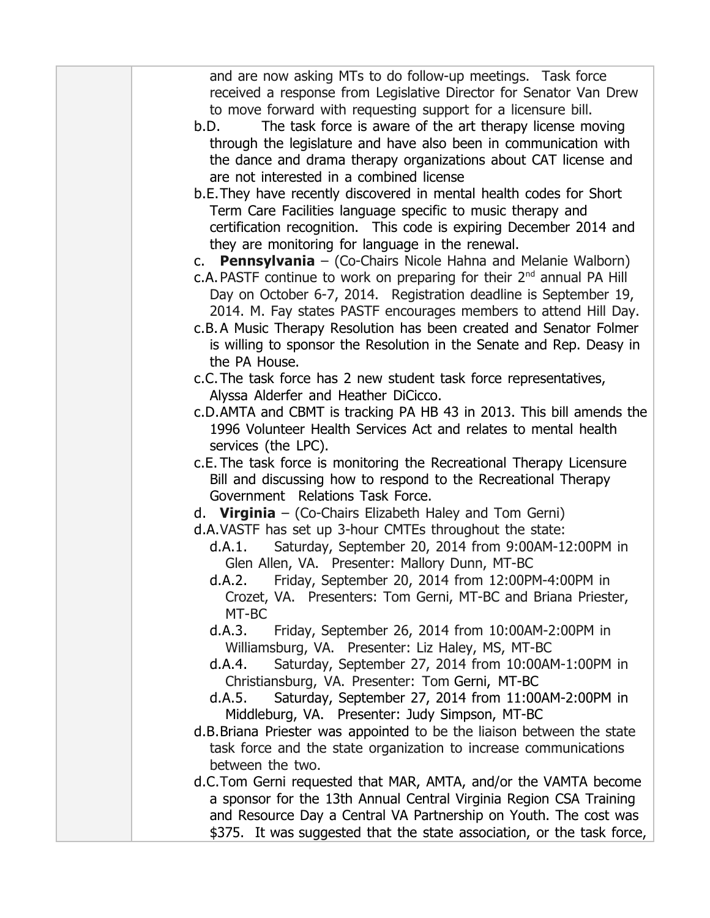and are now asking MTs to do follow-up meetings. Task force received a response from Legislative Director for Senator Van Drew to move forward with requesting support for a licensure bill. b.D. The task force is aware of the art therapy license moving through the legislature and have also been in communication with the dance and drama therapy organizations about CAT license and are not interested in a combined license b.E.They have recently discovered in mental health codes for Short Term Care Facilities language specific to music therapy and certification recognition. This code is expiring December 2014 and they are monitoring for language in the renewal. c. **Pennsylvania** – (Co-Chairs Nicole Hahna and Melanie Walborn) c.A. PASTF continue to work on preparing for their  $2<sup>nd</sup>$  annual PA Hill Day on October 6-7, 2014. Registration deadline is September 19, 2014. M. Fay states PASTF encourages members to attend Hill Day. c.B.A Music Therapy Resolution has been created and Senator Folmer is willing to sponsor the Resolution in the Senate and Rep. Deasy in the PA House. c.C.The task force has 2 new student task force representatives, Alyssa Alderfer and Heather DiCicco. c.D.AMTA and CBMT is tracking PA HB 43 in 2013. This bill amends the 1996 Volunteer Health Services Act and relates to mental health services (the LPC). c.E. The task force is monitoring the Recreational Therapy Licensure Bill and discussing how to respond to the Recreational Therapy Government Relations Task Force. d. **Virginia** – (Co-Chairs Elizabeth Haley and Tom Gerni) d.A.VASTF has set up 3-hour CMTEs throughout the state: d.A.1. Saturday, September 20, 2014 from 9:00AM-12:00PM in Glen Allen, VA. Presenter: Mallory Dunn, MT-BC d.A.2. Friday, September 20, 2014 from 12:00PM-4:00PM in Crozet, VA. Presenters: Tom Gerni, MT-BC and Briana Priester, MT-BC d.A.3. Friday, September 26, 2014 from 10:00AM-2:00PM in Williamsburg, VA. Presenter: Liz Haley, MS, MT-BC d.A.4. Saturday, September 27, 2014 from 10:00AM-1:00PM in Christiansburg, VA. Presenter: Tom Gerni, MT-BC d.A.5. Saturday, September 27, 2014 from 11:00AM-2:00PM in Middleburg, VA. Presenter: Judy Simpson, MT-BC d.B.Briana Priester was appointed to be the liaison between the state task force and the state organization to increase communications between the two. d.C.Tom Gerni requested that MAR, AMTA, and/or the VAMTA become a sponsor for the 13th Annual Central Virginia Region CSA Training and Resource Day a Central VA Partnership on Youth. The cost was \$375. It was suggested that the state association, or the task force,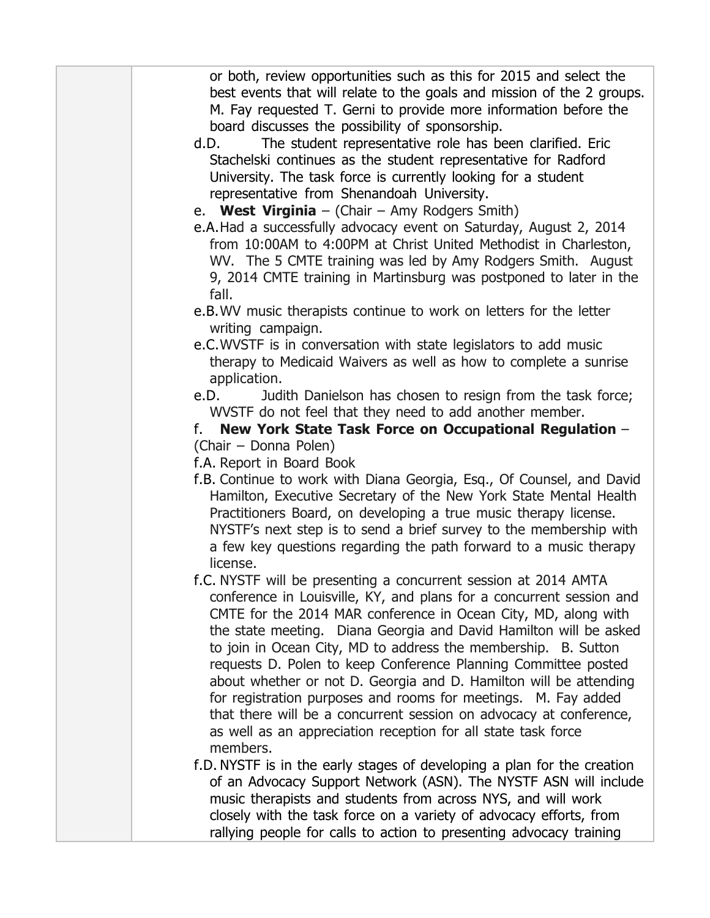or both, review opportunities such as this for 2015 and select the best events that will relate to the goals and mission of the 2 groups. M. Fay requested T. Gerni to provide more information before the board discusses the possibility of sponsorship.

- d.D. The student representative role has been clarified. Eric Stachelski continues as the student representative for Radford University. The task force is currently looking for a student representative from Shenandoah University.
- e. **West Virginia** (Chair Amy Rodgers Smith)
- e.A.Had a successfully advocacy event on Saturday, August 2, 2014 from 10:00AM to 4:00PM at Christ United Methodist in Charleston, WV. The 5 CMTE training was led by Amy Rodgers Smith. August 9, 2014 CMTE training in Martinsburg was postponed to later in the fall.
- e.B.WV music therapists continue to work on letters for the letter writing campaign.
- e.C.WVSTF is in conversation with state legislators to add music therapy to Medicaid Waivers as well as how to complete a sunrise application.
- e.D. Judith Danielson has chosen to resign from the task force; WVSTF do not feel that they need to add another member.

f. **New York State Task Force on Occupational Regulation** – (Chair – Donna Polen)

- f.A. Report in Board Book
- f.B. Continue to work with Diana Georgia, Esq., Of Counsel, and David Hamilton, Executive Secretary of the New York State Mental Health Practitioners Board, on developing a true music therapy license. NYSTF's next step is to send a brief survey to the membership with a few key questions regarding the path forward to a music therapy license.
- f.C. NYSTF will be presenting a concurrent session at 2014 AMTA conference in Louisville, KY, and plans for a concurrent session and CMTE for the 2014 MAR conference in Ocean City, MD, along with the state meeting. Diana Georgia and David Hamilton will be asked to join in Ocean City, MD to address the membership. B. Sutton requests D. Polen to keep Conference Planning Committee posted about whether or not D. Georgia and D. Hamilton will be attending for registration purposes and rooms for meetings. M. Fay added that there will be a concurrent session on advocacy at conference, as well as an appreciation reception for all state task force members.
- f.D. NYSTF is in the early stages of developing a plan for the creation of an Advocacy Support Network (ASN). The NYSTF ASN will include music therapists and students from across NYS, and will work closely with the task force on a variety of advocacy efforts, from rallying people for calls to action to presenting advocacy training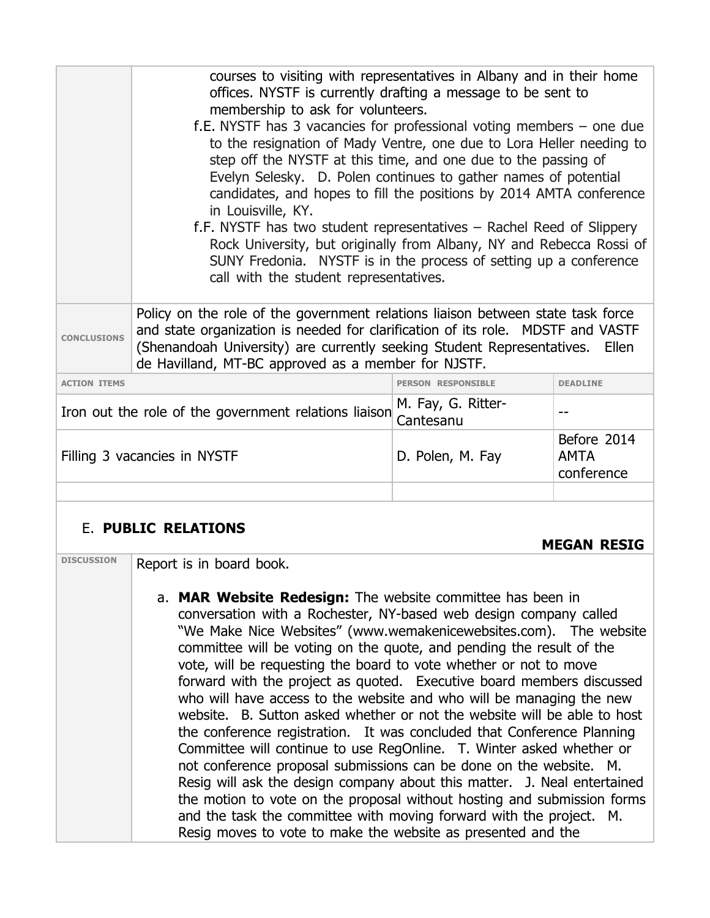|                                                       | courses to visiting with representatives in Albany and in their home<br>offices. NYSTF is currently drafting a message to be sent to<br>membership to ask for volunteers.<br>f.E. NYSTF has 3 vacancies for professional voting members $-$ one due<br>to the resignation of Mady Ventre, one due to Lora Heller needing to<br>step off the NYSTF at this time, and one due to the passing of<br>Evelyn Selesky. D. Polen continues to gather names of potential<br>candidates, and hopes to fill the positions by 2014 AMTA conference<br>in Louisville, KY.<br>f.F. NYSTF has two student representatives – Rachel Reed of Slippery<br>Rock University, but originally from Albany, NY and Rebecca Rossi of<br>SUNY Fredonia. NYSTF is in the process of setting up a conference<br>call with the student representatives. |                                 |                                          |
|-------------------------------------------------------|------------------------------------------------------------------------------------------------------------------------------------------------------------------------------------------------------------------------------------------------------------------------------------------------------------------------------------------------------------------------------------------------------------------------------------------------------------------------------------------------------------------------------------------------------------------------------------------------------------------------------------------------------------------------------------------------------------------------------------------------------------------------------------------------------------------------------|---------------------------------|------------------------------------------|
| <b>CONCLUSIONS</b>                                    | Policy on the role of the government relations liaison between state task force<br>and state organization is needed for clarification of its role. MDSTF and VASTF<br>(Shenandoah University) are currently seeking Student Representatives. Ellen<br>de Havilland, MT-BC approved as a member for NJSTF.                                                                                                                                                                                                                                                                                                                                                                                                                                                                                                                    |                                 |                                          |
| <b>ACTION ITEMS</b>                                   |                                                                                                                                                                                                                                                                                                                                                                                                                                                                                                                                                                                                                                                                                                                                                                                                                              | <b>PERSON RESPONSIBLE</b>       | <b>DEADLINE</b>                          |
| Iron out the role of the government relations liaison |                                                                                                                                                                                                                                                                                                                                                                                                                                                                                                                                                                                                                                                                                                                                                                                                                              | M. Fay, G. Ritter-<br>Cantesanu | --                                       |
| Filling 3 vacancies in NYSTF                          |                                                                                                                                                                                                                                                                                                                                                                                                                                                                                                                                                                                                                                                                                                                                                                                                                              | D. Polen, M. Fay                | Before 2014<br><b>AMTA</b><br>conference |

## E. **PUBLIC RELATIONS**

### **MEGAN RESIG**

**DISCUSSION** Report is in board book.

a. **MAR Website Redesign:** The website committee has been in conversation with a Rochester, NY-based web design company called "We Make Nice Websites" (www.wemakenicewebsites.com). The website committee will be voting on the quote, and pending the result of the vote, will be requesting the board to vote whether or not to move forward with the project as quoted. Executive board members discussed who will have access to the website and who will be managing the new website. B. Sutton asked whether or not the website will be able to host the conference registration. It was concluded that Conference Planning Committee will continue to use RegOnline. T. Winter asked whether or not conference proposal submissions can be done on the website. M. Resig will ask the design company about this matter. J. Neal entertained the motion to vote on the proposal without hosting and submission forms and the task the committee with moving forward with the project. M. Resig moves to vote to make the website as presented and the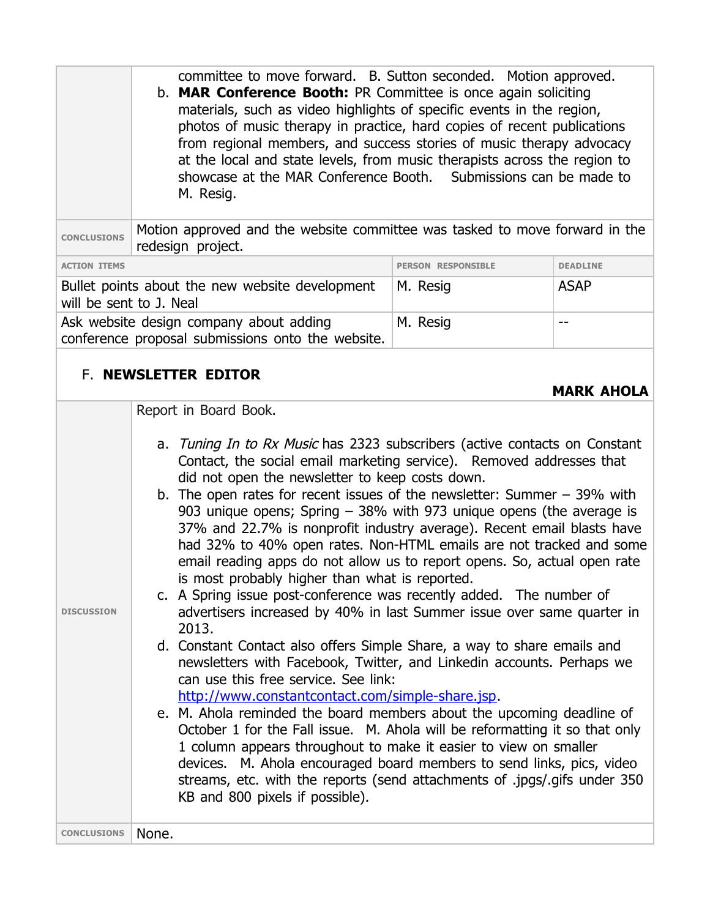committee to move forward. B. Sutton seconded. Motion approved. b. **MAR Conference Booth:** PR Committee is once again soliciting materials, such as video highlights of specific events in the region, photos of music therapy in practice, hard copies of recent publications from regional members, and success stories of music therapy advocacy at the local and state levels, from music therapists across the region to showcase at the MAR Conference Booth. Submissions can be made to M. Resig. **CONCLUSIONS** Motion approved and the website committee was tasked to move forward in the redesign project. **ACTION ITEMS PERSON RESPONSIBLE DEADLINE** Bullet points about the new website development will be sent to J. Neal M. Resig ASAP Ask website design company about adding conference proposal submissions onto the website. M. Resig  $\vert -\vert$ 

# F. **NEWSLETTER EDITOR**

## **MARK AHOLA**

Report in Board Book.

- a. Tuning In to Rx Music has 2323 subscribers (active contacts on Constant Contact, the social email marketing service). Removed addresses that did not open the newsletter to keep costs down.
- b. The open rates for recent issues of the newsletter: Summer 39% with 903 unique opens; Spring – 38% with 973 unique opens (the average is 37% and 22.7% is nonprofit industry average). Recent email blasts have had 32% to 40% open rates. Non-HTML emails are not tracked and some email reading apps do not allow us to report opens. So, actual open rate is most probably higher than what is reported.
- c. A Spring issue post-conference was recently added. The number of advertisers increased by 40% in last Summer issue over same quarter in 2013.
	- d. Constant Contact also offers Simple Share, a way to share emails and newsletters with Facebook, Twitter, and Linkedin accounts. Perhaps we can use this free service. See link:

http://www.constantcontact.com/simple-share.jsp.

e. M. Ahola reminded the board members about the upcoming deadline of October 1 for the Fall issue. M. Ahola will be reformatting it so that only 1 column appears throughout to make it easier to view on smaller devices. M. Ahola encouraged board members to send links, pics, video streams, etc. with the reports (send attachments of .jpgs/.gifs under 350 KB and 800 pixels if possible).

**CONCLUSIONS** | None.

**DISCUSSION**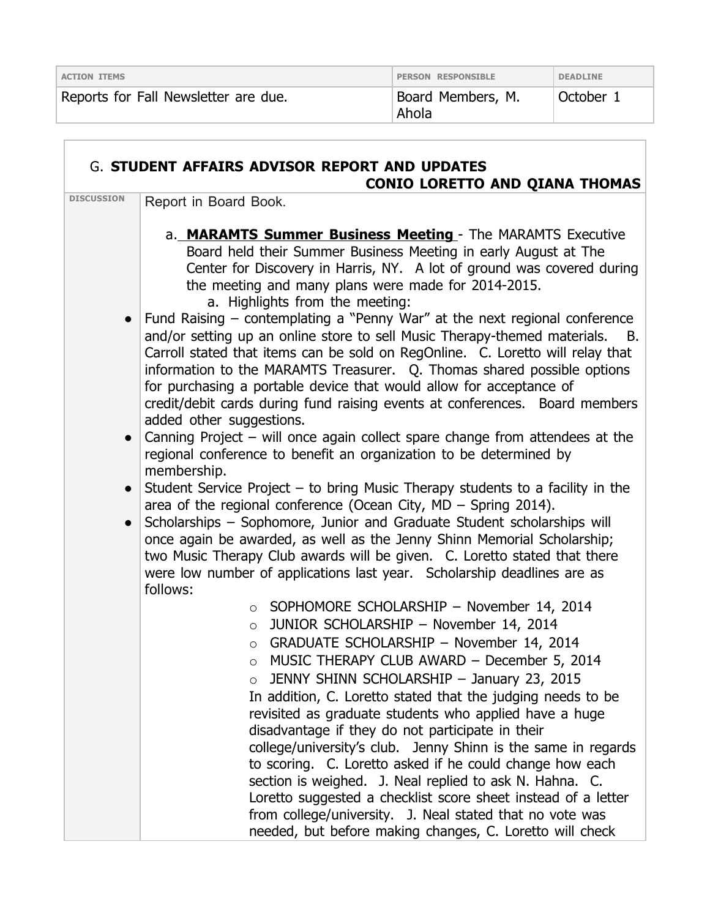| <b>ACTION ITEMS</b>                  | <b>PERSON RESPONSIBLE</b>  | <b>DEADLINE</b> |
|--------------------------------------|----------------------------|-----------------|
| Reports for Fall Newsletter are due. | Board Members, M.<br>Ahola | October 1       |

| G. STUDENT AFFAIRS ADVISOR REPORT AND UPDATES<br><b>CONIO LORETTO AND QIANA THOMAS</b> |                                                                                                                                                                                                                                                                                                                                                                                                                                                                                                                                                                                                                                                                                                                                                                                                                                                                                                                                                                                                                                                                                                                                                                                                                                                                                                                                                                                                                                                                                                                                                                                                                                                                                                                                                                                                                                                                                                                                                                                                                                                                                                                                                                                                                                                                                                                            |  |
|----------------------------------------------------------------------------------------|----------------------------------------------------------------------------------------------------------------------------------------------------------------------------------------------------------------------------------------------------------------------------------------------------------------------------------------------------------------------------------------------------------------------------------------------------------------------------------------------------------------------------------------------------------------------------------------------------------------------------------------------------------------------------------------------------------------------------------------------------------------------------------------------------------------------------------------------------------------------------------------------------------------------------------------------------------------------------------------------------------------------------------------------------------------------------------------------------------------------------------------------------------------------------------------------------------------------------------------------------------------------------------------------------------------------------------------------------------------------------------------------------------------------------------------------------------------------------------------------------------------------------------------------------------------------------------------------------------------------------------------------------------------------------------------------------------------------------------------------------------------------------------------------------------------------------------------------------------------------------------------------------------------------------------------------------------------------------------------------------------------------------------------------------------------------------------------------------------------------------------------------------------------------------------------------------------------------------------------------------------------------------------------------------------------------------|--|
| <b>DISCUSSION</b>                                                                      | Report in Board Book.                                                                                                                                                                                                                                                                                                                                                                                                                                                                                                                                                                                                                                                                                                                                                                                                                                                                                                                                                                                                                                                                                                                                                                                                                                                                                                                                                                                                                                                                                                                                                                                                                                                                                                                                                                                                                                                                                                                                                                                                                                                                                                                                                                                                                                                                                                      |  |
| $\bullet$<br>$\bullet$<br>$\bullet$<br>$\bullet$                                       | a. <b>MARAMTS Summer Business Meeting</b> - The MARAMTS Executive<br>Board held their Summer Business Meeting in early August at The<br>Center for Discovery in Harris, NY. A lot of ground was covered during<br>the meeting and many plans were made for 2014-2015.<br>a. Highlights from the meeting:<br>Fund Raising – contemplating a "Penny War" at the next regional conference<br>and/or setting up an online store to sell Music Therapy-themed materials.<br>В.<br>Carroll stated that items can be sold on RegOnline. C. Loretto will relay that<br>information to the MARAMTS Treasurer. Q. Thomas shared possible options<br>for purchasing a portable device that would allow for acceptance of<br>credit/debit cards during fund raising events at conferences. Board members<br>added other suggestions.<br>Canning Project – will once again collect spare change from attendees at the<br>regional conference to benefit an organization to be determined by<br>membership.<br>Student Service Project $-$ to bring Music Therapy students to a facility in the<br>area of the regional conference (Ocean City, $MD -$ Spring 2014).<br>Scholarships - Sophomore, Junior and Graduate Student scholarships will<br>once again be awarded, as well as the Jenny Shinn Memorial Scholarship;<br>two Music Therapy Club awards will be given. C. Loretto stated that there<br>were low number of applications last year. Scholarship deadlines are as<br>follows:<br>SOPHOMORE SCHOLARSHIP - November 14, 2014<br>$\circ$<br>JUNIOR SCHOLARSHIP - November 14, 2014<br>$\circ$<br>GRADUATE SCHOLARSHIP - November 14, 2014<br>$\circ$<br>MUSIC THERAPY CLUB AWARD - December 5, 2014<br>$\circ$<br>JENNY SHINN SCHOLARSHIP - January 23, 2015<br>In addition, C. Loretto stated that the judging needs to be<br>revisited as graduate students who applied have a huge<br>disadvantage if they do not participate in their<br>college/university's club. Jenny Shinn is the same in regards<br>to scoring. C. Loretto asked if he could change how each<br>section is weighed. J. Neal replied to ask N. Hahna. C.<br>Loretto suggested a checklist score sheet instead of a letter<br>from college/university. J. Neal stated that no vote was<br>needed, but before making changes, C. Loretto will check |  |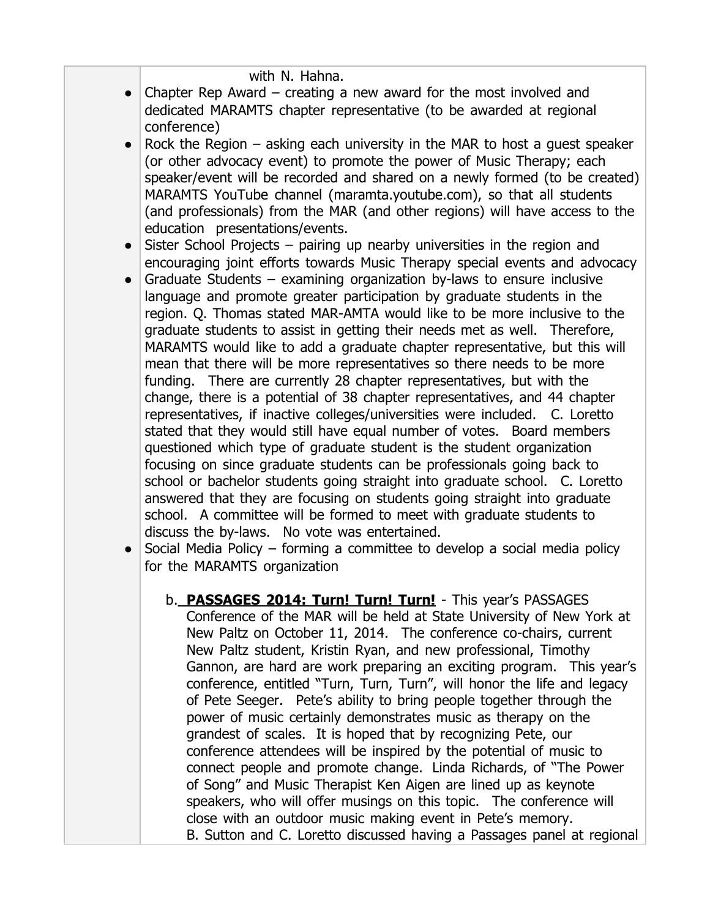| $\bullet$<br>$\bullet$<br>$\bullet$<br>$\bullet$<br>$\bullet$ | with N. Hahna.<br>Chapter Rep Award $-$ creating a new award for the most involved and<br>dedicated MARAMTS chapter representative (to be awarded at regional<br>conference)<br>Rock the Region $-$ asking each university in the MAR to host a guest speaker<br>(or other advocacy event) to promote the power of Music Therapy; each<br>speaker/event will be recorded and shared on a newly formed (to be created)<br>MARAMTS YouTube channel (maramta.youtube.com), so that all students<br>(and professionals) from the MAR (and other regions) will have access to the<br>education presentations/events.<br>Sister School Projects – pairing up nearby universities in the region and<br>encouraging joint efforts towards Music Therapy special events and advocacy<br>Graduate Students – examining organization by-laws to ensure inclusive<br>language and promote greater participation by graduate students in the<br>region. Q. Thomas stated MAR-AMTA would like to be more inclusive to the<br>graduate students to assist in getting their needs met as well. Therefore,<br>MARAMTS would like to add a graduate chapter representative, but this will<br>mean that there will be more representatives so there needs to be more<br>funding. There are currently 28 chapter representatives, but with the<br>change, there is a potential of 38 chapter representatives, and 44 chapter<br>representatives, if inactive colleges/universities were included. C. Loretto<br>stated that they would still have equal number of votes. Board members<br>questioned which type of graduate student is the student organization<br>focusing on since graduate students can be professionals going back to<br>school or bachelor students going straight into graduate school. C. Loretto<br>answered that they are focusing on students going straight into graduate<br>school. A committee will be formed to meet with graduate students to<br>discuss the by-laws. No vote was entertained.<br>Social Media Policy – forming a committee to develop a social media policy<br>for the MARAMTS organization |
|---------------------------------------------------------------|-------------------------------------------------------------------------------------------------------------------------------------------------------------------------------------------------------------------------------------------------------------------------------------------------------------------------------------------------------------------------------------------------------------------------------------------------------------------------------------------------------------------------------------------------------------------------------------------------------------------------------------------------------------------------------------------------------------------------------------------------------------------------------------------------------------------------------------------------------------------------------------------------------------------------------------------------------------------------------------------------------------------------------------------------------------------------------------------------------------------------------------------------------------------------------------------------------------------------------------------------------------------------------------------------------------------------------------------------------------------------------------------------------------------------------------------------------------------------------------------------------------------------------------------------------------------------------------------------------------------------------------------------------------------------------------------------------------------------------------------------------------------------------------------------------------------------------------------------------------------------------------------------------------------------------------------------------------------------------------------------------------------------------------------------------------------------------------------------------------------------|
|                                                               | b. PASSAGES 2014: Turn! Turn! Turn! - This year's PASSAGES<br>Conference of the MAR will be held at State University of New York at<br>New Paltz on October 11, 2014. The conference co-chairs, current<br>New Paltz student, Kristin Ryan, and new professional, Timothy<br>Gannon, are hard are work preparing an exciting program. This year's<br>conference, entitled "Turn, Turn, Turn", will honor the life and legacy<br>of Pete Seeger. Pete's ability to bring people together through the<br>power of music certainly demonstrates music as therapy on the<br>grandest of scales. It is hoped that by recognizing Pete, our<br>conference attendees will be inspired by the potential of music to<br>connect people and promote change. Linda Richards, of "The Power<br>of Song" and Music Therapist Ken Aigen are lined up as keynote<br>speakers, who will offer musings on this topic. The conference will<br>close with an outdoor music making event in Pete's memory.                                                                                                                                                                                                                                                                                                                                                                                                                                                                                                                                                                                                                                                                                                                                                                                                                                                                                                                                                                                                                                                                                                                                  |

B. Sutton and C. Loretto discussed having a Passages panel at regional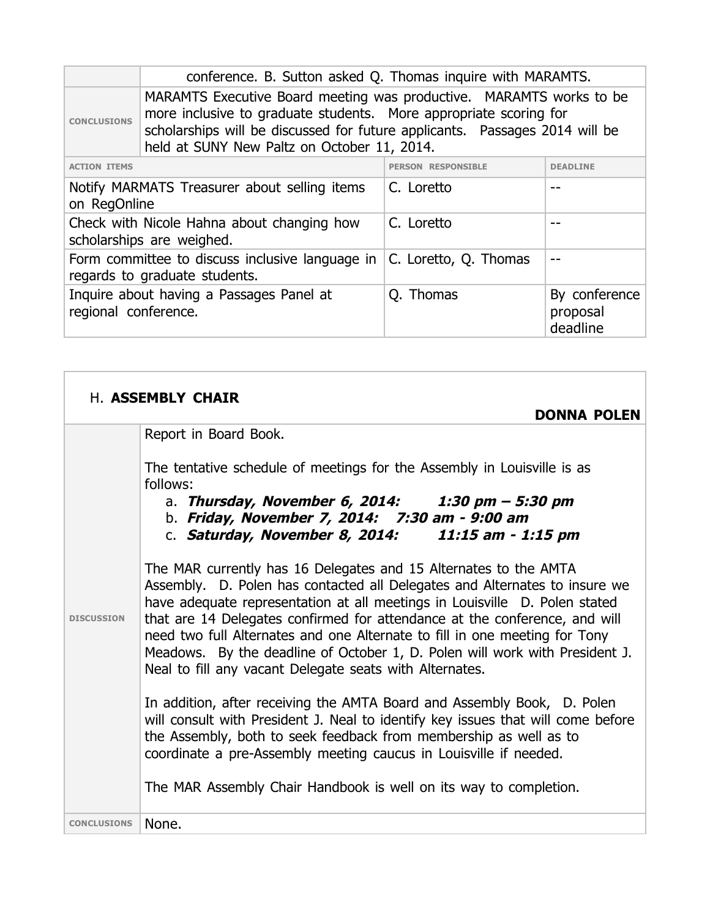|                                                                                  | conference. B. Sutton asked Q. Thomas inquire with MARAMTS.                                                                                                                                                                                                            |                           |                                       |
|----------------------------------------------------------------------------------|------------------------------------------------------------------------------------------------------------------------------------------------------------------------------------------------------------------------------------------------------------------------|---------------------------|---------------------------------------|
| <b>CONCLUSIONS</b>                                                               | MARAMTS Executive Board meeting was productive. MARAMTS works to be<br>more inclusive to graduate students. More appropriate scoring for<br>scholarships will be discussed for future applicants. Passages 2014 will be<br>held at SUNY New Paltz on October 11, 2014. |                           |                                       |
| <b>ACTION ITEMS</b>                                                              |                                                                                                                                                                                                                                                                        | <b>PERSON RESPONSTBLE</b> | <b>DEADI INF</b>                      |
| Notify MARMATS Treasurer about selling items<br>on RegOnline                     |                                                                                                                                                                                                                                                                        | C. Loretto                |                                       |
| Check with Nicole Hahna about changing how<br>scholarships are weighed.          |                                                                                                                                                                                                                                                                        | C. Loretto                |                                       |
| Form committee to discuss inclusive language in<br>regards to graduate students. |                                                                                                                                                                                                                                                                        | C. Loretto, Q. Thomas     |                                       |
| Inquire about having a Passages Panel at<br>regional conference.                 |                                                                                                                                                                                                                                                                        | Q. Thomas                 | By conference<br>proposal<br>deadline |

|                    | H. ASSEMBLY CHAIR                                                                                                                                                                                                                                                                                                                                                                                                                                                                                                                  |
|--------------------|------------------------------------------------------------------------------------------------------------------------------------------------------------------------------------------------------------------------------------------------------------------------------------------------------------------------------------------------------------------------------------------------------------------------------------------------------------------------------------------------------------------------------------|
|                    | <b>DONNA POLEN</b>                                                                                                                                                                                                                                                                                                                                                                                                                                                                                                                 |
|                    | Report in Board Book.                                                                                                                                                                                                                                                                                                                                                                                                                                                                                                              |
|                    | The tentative schedule of meetings for the Assembly in Louisville is as<br>follows:                                                                                                                                                                                                                                                                                                                                                                                                                                                |
| <b>DISCUSSION</b>  | a. Thursday, November 6, 2014: $1:30 \text{ pm} - 5:30 \text{ pm}$<br>b. Friday, November 7, 2014: 7:30 am - 9:00 am<br>c. Saturday, November 8, 2014: $11:15$ am - 1:15 pm                                                                                                                                                                                                                                                                                                                                                        |
|                    | The MAR currently has 16 Delegates and 15 Alternates to the AMTA<br>Assembly. D. Polen has contacted all Delegates and Alternates to insure we<br>have adequate representation at all meetings in Louisville D. Polen stated<br>that are 14 Delegates confirmed for attendance at the conference, and will<br>need two full Alternates and one Alternate to fill in one meeting for Tony<br>Meadows. By the deadline of October 1, D. Polen will work with President J.<br>Neal to fill any vacant Delegate seats with Alternates. |
|                    | In addition, after receiving the AMTA Board and Assembly Book, D. Polen<br>will consult with President J. Neal to identify key issues that will come before<br>the Assembly, both to seek feedback from membership as well as to<br>coordinate a pre-Assembly meeting caucus in Louisville if needed.                                                                                                                                                                                                                              |
|                    | The MAR Assembly Chair Handbook is well on its way to completion.                                                                                                                                                                                                                                                                                                                                                                                                                                                                  |
| <b>CONCLUSIONS</b> | None.                                                                                                                                                                                                                                                                                                                                                                                                                                                                                                                              |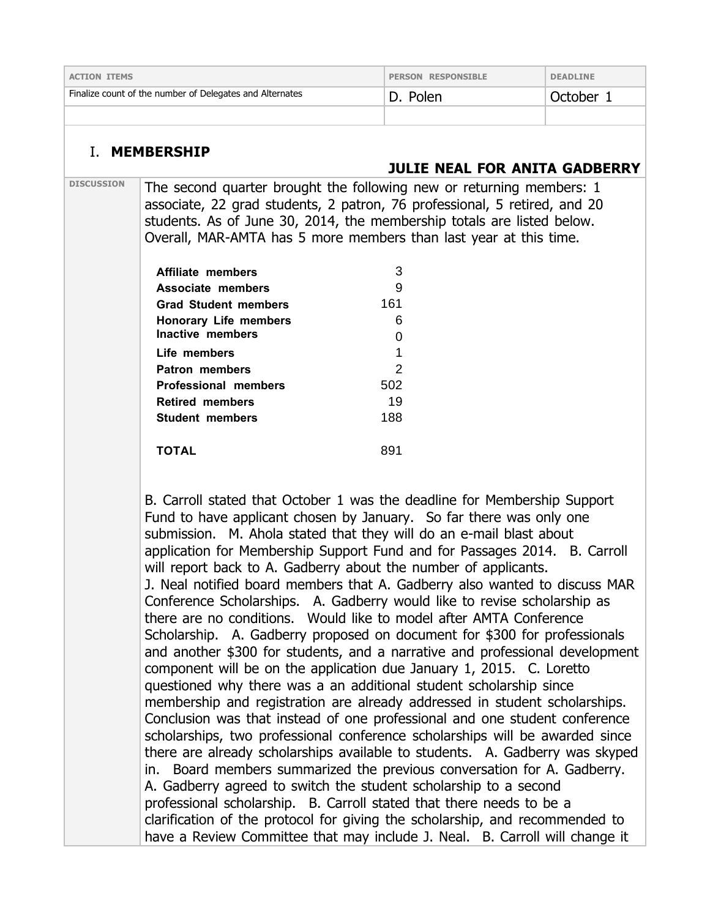| <b>ACTION ITEMS</b>                                                          |                                                                                                                                                         | <b>PERSON RESPONSIBLE</b> | <b>DEADLINE</b>                      |  |
|------------------------------------------------------------------------------|---------------------------------------------------------------------------------------------------------------------------------------------------------|---------------------------|--------------------------------------|--|
| Finalize count of the number of Delegates and Alternates                     |                                                                                                                                                         | D. Polen                  | October 1                            |  |
|                                                                              |                                                                                                                                                         |                           |                                      |  |
|                                                                              | I. MEMBERSHIP                                                                                                                                           |                           |                                      |  |
|                                                                              |                                                                                                                                                         |                           | <b>JULIE NEAL FOR ANITA GADBERRY</b> |  |
| <b>DISCUSSION</b>                                                            | The second quarter brought the following new or returning members: 1                                                                                    |                           |                                      |  |
|                                                                              | associate, 22 grad students, 2 patron, 76 professional, 5 retired, and 20                                                                               |                           |                                      |  |
|                                                                              | students. As of June 30, 2014, the membership totals are listed below.<br>Overall, MAR-AMTA has 5 more members than last year at this time.             |                           |                                      |  |
|                                                                              |                                                                                                                                                         |                           |                                      |  |
|                                                                              | Affiliate members                                                                                                                                       | 3                         |                                      |  |
|                                                                              | Associate members                                                                                                                                       | 9                         |                                      |  |
|                                                                              | <b>Grad Student members</b>                                                                                                                             | 161                       |                                      |  |
|                                                                              | <b>Honorary Life members</b><br><b>Inactive members</b>                                                                                                 | 6                         |                                      |  |
|                                                                              |                                                                                                                                                         | 0                         |                                      |  |
|                                                                              | Life members<br><b>Patron members</b>                                                                                                                   | 1<br>$\overline{2}$       |                                      |  |
|                                                                              | <b>Professional members</b>                                                                                                                             | 502                       |                                      |  |
|                                                                              | <b>Retired members</b>                                                                                                                                  | 19                        |                                      |  |
|                                                                              | <b>Student members</b>                                                                                                                                  | 188                       |                                      |  |
|                                                                              |                                                                                                                                                         |                           |                                      |  |
|                                                                              | <b>TOTAL</b>                                                                                                                                            | 891                       |                                      |  |
|                                                                              | B. Carroll stated that October 1 was the deadline for Membership Support                                                                                |                           |                                      |  |
|                                                                              | Fund to have applicant chosen by January. So far there was only one                                                                                     |                           |                                      |  |
|                                                                              | submission. M. Ahola stated that they will do an e-mail blast about                                                                                     |                           |                                      |  |
|                                                                              | application for Membership Support Fund and for Passages 2014. B. Carroll                                                                               |                           |                                      |  |
|                                                                              | will report back to A. Gadberry about the number of applicants.                                                                                         |                           |                                      |  |
|                                                                              | J. Neal notified board members that A. Gadberry also wanted to discuss MAR                                                                              |                           |                                      |  |
|                                                                              | Conference Scholarships. A. Gadberry would like to revise scholarship as<br>there are no conditions. Would like to model after AMTA Conference          |                           |                                      |  |
|                                                                              | Scholarship. A. Gadberry proposed on document for \$300 for professionals                                                                               |                           |                                      |  |
|                                                                              | and another \$300 for students, and a narrative and professional development                                                                            |                           |                                      |  |
|                                                                              | component will be on the application due January 1, 2015. C. Loretto                                                                                    |                           |                                      |  |
|                                                                              | questioned why there was a an additional student scholarship since                                                                                      |                           |                                      |  |
|                                                                              | membership and registration are already addressed in student scholarships.                                                                              |                           |                                      |  |
|                                                                              | Conclusion was that instead of one professional and one student conference                                                                              |                           |                                      |  |
| scholarships, two professional conference scholarships will be awarded since |                                                                                                                                                         |                           |                                      |  |
|                                                                              | there are already scholarships available to students. A. Gadberry was skyped<br>in. Board members summarized the previous conversation for A. Gadberry. |                           |                                      |  |
|                                                                              | A. Gadberry agreed to switch the student scholarship to a second                                                                                        |                           |                                      |  |
|                                                                              | professional scholarship. B. Carroll stated that there needs to be a                                                                                    |                           |                                      |  |
|                                                                              | clarification of the protocol for giving the scholarship, and recommended to                                                                            |                           |                                      |  |
|                                                                              | have a Review Committee that may include J. Neal. B. Carroll will change it                                                                             |                           |                                      |  |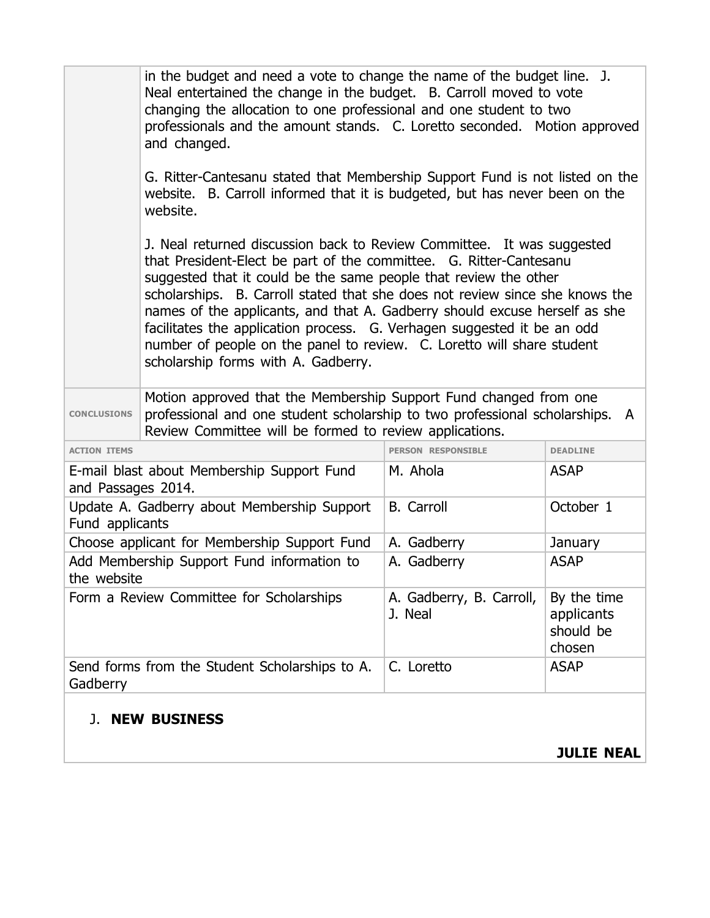|                                                                     | in the budget and need a vote to change the name of the budget line. J.<br>Neal entertained the change in the budget. B. Carroll moved to vote<br>changing the allocation to one professional and one student to two<br>professionals and the amount stands. C. Loretto seconded. Motion approved<br>and changed.                                                                                                                                                                                                                                                          |                                     |                                                  |  |
|---------------------------------------------------------------------|----------------------------------------------------------------------------------------------------------------------------------------------------------------------------------------------------------------------------------------------------------------------------------------------------------------------------------------------------------------------------------------------------------------------------------------------------------------------------------------------------------------------------------------------------------------------------|-------------------------------------|--------------------------------------------------|--|
|                                                                     | G. Ritter-Cantesanu stated that Membership Support Fund is not listed on the<br>website. B. Carroll informed that it is budgeted, but has never been on the<br>website.                                                                                                                                                                                                                                                                                                                                                                                                    |                                     |                                                  |  |
|                                                                     | J. Neal returned discussion back to Review Committee. It was suggested<br>that President-Elect be part of the committee. G. Ritter-Cantesanu<br>suggested that it could be the same people that review the other<br>scholarships. B. Carroll stated that she does not review since she knows the<br>names of the applicants, and that A. Gadberry should excuse herself as she<br>facilitates the application process. G. Verhagen suggested it be an odd<br>number of people on the panel to review. C. Loretto will share student<br>scholarship forms with A. Gadberry. |                                     |                                                  |  |
| <b>CONCLUSIONS</b>                                                  | Motion approved that the Membership Support Fund changed from one<br>professional and one student scholarship to two professional scholarships. A<br>Review Committee will be formed to review applications.                                                                                                                                                                                                                                                                                                                                                               |                                     |                                                  |  |
| <b>PERSON RESPONSIBLE</b><br><b>ACTION ITEMS</b><br><b>DEADLINE</b> |                                                                                                                                                                                                                                                                                                                                                                                                                                                                                                                                                                            |                                     |                                                  |  |
| E-mail blast about Membership Support Fund<br>and Passages 2014.    |                                                                                                                                                                                                                                                                                                                                                                                                                                                                                                                                                                            | M. Ahola                            | <b>ASAP</b>                                      |  |
| Update A. Gadberry about Membership Support<br>Fund applicants      |                                                                                                                                                                                                                                                                                                                                                                                                                                                                                                                                                                            | <b>B.</b> Carroll                   | October 1                                        |  |
| Choose applicant for Membership Support Fund                        |                                                                                                                                                                                                                                                                                                                                                                                                                                                                                                                                                                            | A. Gadberry                         | January                                          |  |
| Add Membership Support Fund information to<br>the website           |                                                                                                                                                                                                                                                                                                                                                                                                                                                                                                                                                                            | A. Gadberry                         | <b>ASAP</b>                                      |  |
| Form a Review Committee for Scholarships                            |                                                                                                                                                                                                                                                                                                                                                                                                                                                                                                                                                                            | A. Gadberry, B. Carroll,<br>J. Neal | By the time<br>applicants<br>should be<br>chosen |  |
| Send forms from the Student Scholarships to A.<br>Gadberry          |                                                                                                                                                                                                                                                                                                                                                                                                                                                                                                                                                                            | C. Loretto                          | <b>ASAP</b>                                      |  |
| <b>J. NEW BUSINESS</b>                                              |                                                                                                                                                                                                                                                                                                                                                                                                                                                                                                                                                                            |                                     |                                                  |  |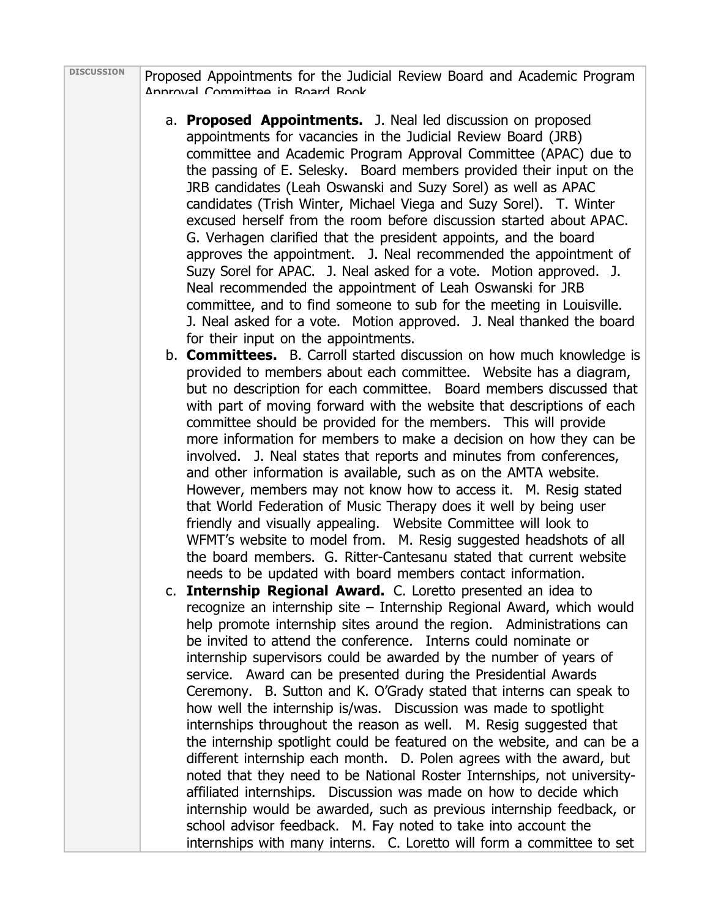**DISCUSSION** Proposed Appointments for the Judicial Review Board and Academic Program Approval Committee in Board Book.

- a. **Proposed Appointments.** J. Neal led discussion on proposed appointments for vacancies in the Judicial Review Board (JRB) committee and Academic Program Approval Committee (APAC) due to the passing of E. Selesky. Board members provided their input on the JRB candidates (Leah Oswanski and Suzy Sorel) as well as APAC candidates (Trish Winter, Michael Viega and Suzy Sorel). T. Winter excused herself from the room before discussion started about APAC. G. Verhagen clarified that the president appoints, and the board approves the appointment. J. Neal recommended the appointment of Suzy Sorel for APAC. J. Neal asked for a vote. Motion approved. J. Neal recommended the appointment of Leah Oswanski for JRB committee, and to find someone to sub for the meeting in Louisville. J. Neal asked for a vote. Motion approved. J. Neal thanked the board for their input on the appointments.
- b. **Committees.** B. Carroll started discussion on how much knowledge is provided to members about each committee. Website has a diagram, but no description for each committee. Board members discussed that with part of moving forward with the website that descriptions of each committee should be provided for the members. This will provide more information for members to make a decision on how they can be involved. J. Neal states that reports and minutes from conferences, and other information is available, such as on the AMTA website. However, members may not know how to access it. M. Resig stated that World Federation of Music Therapy does it well by being user friendly and visually appealing. Website Committee will look to WFMT's website to model from. M. Resig suggested headshots of all the board members. G. Ritter-Cantesanu stated that current website needs to be updated with board members contact information.
- c. **Internship Regional Award.** C. Loretto presented an idea to recognize an internship site – Internship Regional Award, which would help promote internship sites around the region. Administrations can be invited to attend the conference. Interns could nominate or internship supervisors could be awarded by the number of years of service. Award can be presented during the Presidential Awards Ceremony. B. Sutton and K. O'Grady stated that interns can speak to how well the internship is/was. Discussion was made to spotlight internships throughout the reason as well. M. Resig suggested that the internship spotlight could be featured on the website, and can be a different internship each month. D. Polen agrees with the award, but noted that they need to be National Roster Internships, not universityaffiliated internships. Discussion was made on how to decide which internship would be awarded, such as previous internship feedback, or school advisor feedback. M. Fay noted to take into account the internships with many interns. C. Loretto will form a committee to set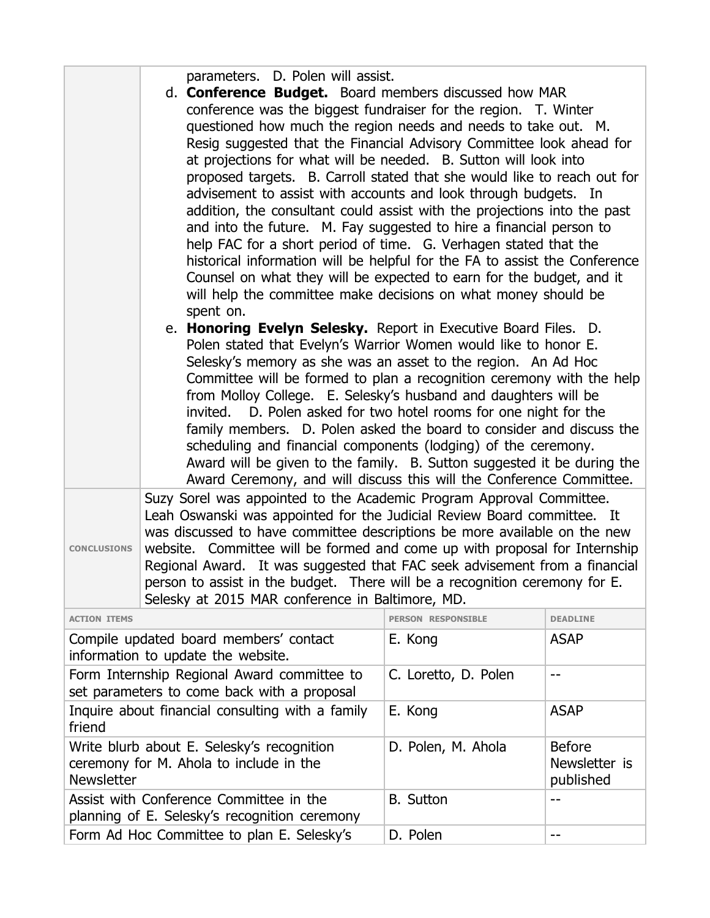parameters. D. Polen will assist.

d. **Conference Budget.** Board members discussed how MAR conference was the biggest fundraiser for the region. T. Winter questioned how much the region needs and needs to take out. M. Resig suggested that the Financial Advisory Committee look ahead for at projections for what will be needed. B. Sutton will look into proposed targets. B. Carroll stated that she would like to reach out for advisement to assist with accounts and look through budgets. In addition, the consultant could assist with the projections into the past and into the future. M. Fay suggested to hire a financial person to help FAC for a short period of time. G. Verhagen stated that the historical information will be helpful for the FA to assist the Conference Counsel on what they will be expected to earn for the budget, and it will help the committee make decisions on what money should be spent on.

e. **Honoring Evelyn Selesky.** Report in Executive Board Files. D. Polen stated that Evelyn's Warrior Women would like to honor E. Selesky's memory as she was an asset to the region. An Ad Hoc Committee will be formed to plan a recognition ceremony with the help from Molloy College. E. Selesky's husband and daughters will be invited. D. Polen asked for two hotel rooms for one night for the family members. D. Polen asked the board to consider and discuss the scheduling and financial components (lodging) of the ceremony. Award will be given to the family. B. Sutton suggested it be during the Award Ceremony, and will discuss this will the Conference Committee.

**CONCLUSIONS** Suzy Sorel was appointed to the Academic Program Approval Committee. Leah Oswanski was appointed for the Judicial Review Board committee. It was discussed to have committee descriptions be more available on the new website. Committee will be formed and come up with proposal for Internship Regional Award. It was suggested that FAC seek advisement from a financial person to assist in the budget. There will be a recognition ceremony for E. Selesky at 2015 MAR conference in Baltimore, MD.

| <b>ACTION ITEMS</b>                                                                                        | <b>PERSON RESPONSIBLE</b> | <b>DEADLINE</b>                             |
|------------------------------------------------------------------------------------------------------------|---------------------------|---------------------------------------------|
| Compile updated board members' contact<br>information to update the website.                               | E. Kong                   | <b>ASAP</b>                                 |
| Form Internship Regional Award committee to<br>set parameters to come back with a proposal                 | C. Loretto, D. Polen      |                                             |
| Inquire about financial consulting with a family<br>friend                                                 | E. Kong                   | <b>ASAP</b>                                 |
| Write blurb about E. Selesky's recognition<br>ceremony for M. Ahola to include in the<br><b>Newsletter</b> | D. Polen, M. Ahola        | <b>Before</b><br>Newsletter is<br>published |
| Assist with Conference Committee in the<br>planning of E. Selesky's recognition ceremony                   | <b>B.</b> Sutton          |                                             |
| Form Ad Hoc Committee to plan E. Selesky's                                                                 | D. Polen                  |                                             |